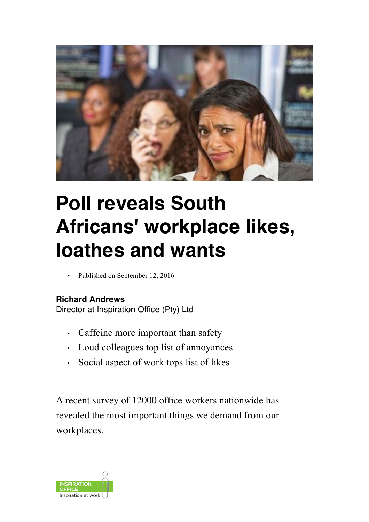

## **Poll reveals South Africans' workplace likes, loathes and wants**

Published on September 12, 2016

## **Richard Andrews**

Director at Inspiration Office (Pty) Ltd

- Caffeine more important than safety
- Loud colleagues top list of annoyances
- Social aspect of work tops list of likes

A recent survey of 12000 office workers nationwide has revealed the most important things we demand from our workplaces.

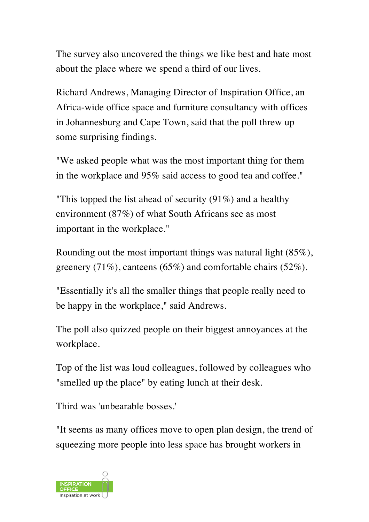The survey also uncovered the things we like best and hate most about the place where we spend a third of our lives.

Richard Andrews, Managing Director of Inspiration Office, an Africa-wide office space and furniture consultancy with offices in Johannesburg and Cape Town, said that the poll threw up some surprising findings.

"We asked people what was the most important thing for them in the workplace and 95% said access to good tea and coffee."

"This topped the list ahead of security (91%) and a healthy environment (87%) of what South Africans see as most important in the workplace."

Rounding out the most important things was natural light (85%), greenery (71%), canteens (65%) and comfortable chairs (52%).

"Essentially it's all the smaller things that people really need to be happy in the workplace," said Andrews.

The poll also quizzed people on their biggest annoyances at the workplace.

Top of the list was loud colleagues, followed by colleagues who "smelled up the place" by eating lunch at their desk.

Third was 'unbearable bosses.'

"It seems as many offices move to open plan design, the trend of squeezing more people into less space has brought workers in

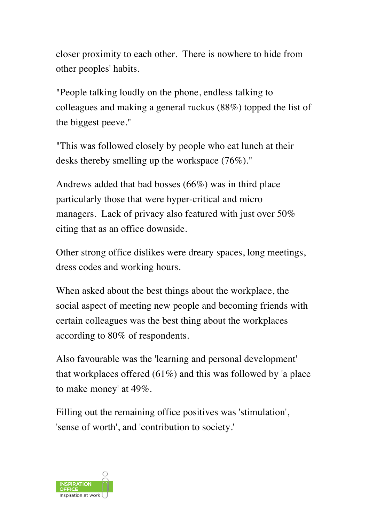closer proximity to each other. There is nowhere to hide from other peoples' habits.

"People talking loudly on the phone, endless talking to colleagues and making a general ruckus (88%) topped the list of the biggest peeve."

"This was followed closely by people who eat lunch at their desks thereby smelling up the workspace (76%)."

Andrews added that bad bosses (66%) was in third place particularly those that were hyper-critical and micro managers. Lack of privacy also featured with just over 50% citing that as an office downside.

Other strong office dislikes were dreary spaces, long meetings, dress codes and working hours.

When asked about the best things about the workplace, the social aspect of meeting new people and becoming friends with certain colleagues was the best thing about the workplaces according to 80% of respondents.

Also favourable was the 'learning and personal development' that workplaces offered (61%) and this was followed by 'a place to make money' at 49%.

Filling out the remaining office positives was 'stimulation', 'sense of worth', and 'contribution to society.'